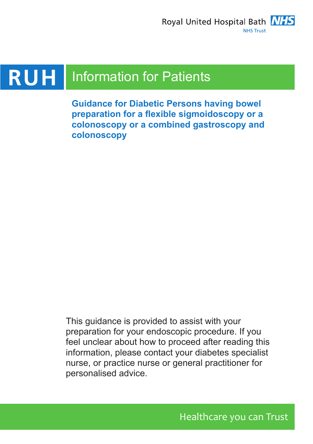

#### **RUH** Information for Patients

**Guidance for Diabetic Persons having bowel preparation for a flexible sigmoidoscopy or a colonoscopy or a combined gastroscopy and colonoscopy**

This guidance is provided to assist with your preparation for your endoscopic procedure. If you feel unclear about how to proceed after reading this information, please contact your diabetes specialist nurse, or practice nurse or general practitioner for personalised advice.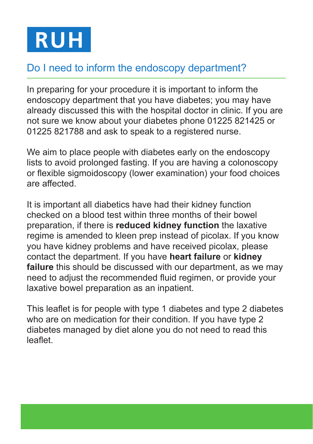

# Do I need to inform the endoscopy department?

In preparing for your procedure it is important to inform the endoscopy department that you have diabetes; you may have already discussed this with the hospital doctor in clinic. If you are not sure we know about your diabetes phone 01225 821425 or 01225 821788 and ask to speak to a registered nurse.

We aim to place people with diabetes early on the endoscopy lists to avoid prolonged fasting. If you are having a colonoscopy or flexible sigmoidoscopy (lower examination) your food choices are affected.

It is important all diabetics have had their kidney function checked on a blood test within three months of their bowel preparation, if there is **reduced kidney function** the laxative regime is amended to kleen prep instead of picolax. If you know you have kidney problems and have received picolax, please contact the department. If you have **heart failure** or **kidney failure** this should be discussed with our department, as we may need to adjust the recommended fluid regimen, or provide your laxative bowel preparation as an inpatient.

This leaflet is for people with type 1 diabetes and type 2 diabetes who are on medication for their condition. If you have type 2 diabetes managed by diet alone you do not need to read this leaflet.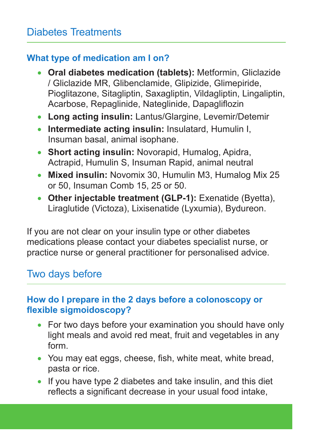## **What type of medication am I on?**

- • **Oral diabetes medication (tablets):** Metformin, Gliclazide / Gliclazide MR, Glibenclamide, Glipizide, Glimepiride, Pioglitazone, Sitagliptin, Saxagliptin, Vildagliptin, Lingaliptin, Acarbose, Repaglinide, Nateglinide, Dapagliflozin
- • **Long acting insulin:** Lantus/Glargine, Levemir/Detemir
- • **Intermediate acting insulin:** Insulatard, Humulin I, Insuman basal, animal isophane.
- • **Short acting insulin:** Novorapid, Humalog, Apidra, Actrapid, Humulin S, Insuman Rapid, animal neutral
- Mixed insulin: Novomix 30, Humulin M3, Humalog Mix 25 or 50, Insuman Comb 15, 25 or 50.
- Other injectable treatment (GLP-1): Exenatide (Byetta), Liraglutide (Victoza), Lixisenatide (Lyxumia), Bydureon.

If you are not clear on your insulin type or other diabetes medications please contact your diabetes specialist nurse, or practice nurse or general practitioner for personalised advice.

# Two days before

## **How do I prepare in the 2 days before a colonoscopy or flexible sigmoidoscopy?**

- For two days before your examination you should have only light meals and avoid red meat, fruit and vegetables in any form.
- You may eat eggs, cheese, fish, white meat, white bread, pasta or rice.
- If you have type 2 diabetes and take insulin, and this diet reflects a significant decrease in your usual food intake,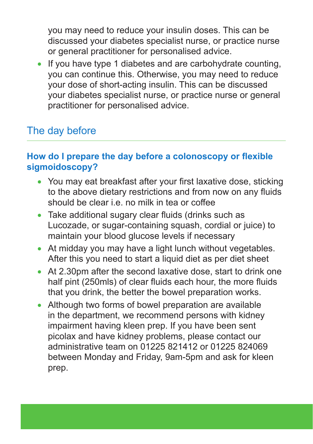you may need to reduce your insulin doses. This can be discussed your diabetes specialist nurse, or practice nurse or general practitioner for personalised advice.

• If you have type 1 diabetes and are carbohydrate counting, you can continue this. Otherwise, you may need to reduce your dose of short-acting insulin. This can be discussed your diabetes specialist nurse, or practice nurse or general practitioner for personalised advice.

# The day before

#### **How do I prepare the day before a colonoscopy or flexible sigmoidoscopy?**

- You may eat breakfast after your first laxative dose, sticking to the above dietary restrictions and from now on any fluids should be clear i.e. no milk in tea or coffee
- Take additional sugary clear fluids (drinks such as Lucozade, or sugar-containing squash, cordial or juice) to maintain your blood glucose levels if necessary
- At midday you may have a light lunch without vegetables. After this you need to start a liquid diet as per diet sheet
- At 2.30pm after the second laxative dose, start to drink one half pint (250mls) of clear fluids each hour, the more fluids that you drink, the better the bowel preparation works.
- Although two forms of bowel preparation are available in the department, we recommend persons with kidney impairment having kleen prep. If you have been sent picolax and have kidney problems, please contact our administrative team on 01225 821412 or 01225 824069 between Monday and Friday, 9am-5pm and ask for kleen prep.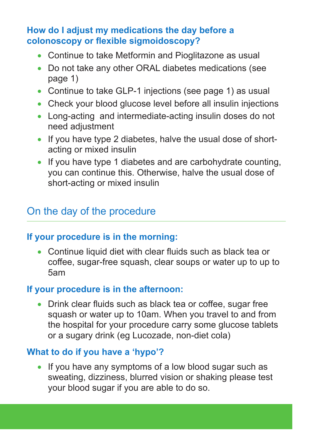#### **How do I adjust my medications the day before a colonoscopy or flexible sigmoidoscopy?**

- Continue to take Metformin and Pioglitazone as usual
- Do not take any other ORAL diabetes medications (see page 1)
- Continue to take GLP-1 injections (see page 1) as usual
- Check your blood glucose level before all insulin injections
- Long-acting and intermediate-acting insulin doses do not need adjustment
- If you have type 2 diabetes, halve the usual dose of shortacting or mixed insulin
- If you have type 1 diabetes and are carbohydrate counting. you can continue this. Otherwise, halve the usual dose of short-acting or mixed insulin

# On the day of the procedure

#### **If your procedure is in the morning:**

• Continue liquid diet with clear fluids such as black tea or coffee, sugar-free squash, clear soups or water up to up to 5am

#### **If your procedure is in the afternoon:**

• Drink clear fluids such as black tea or coffee, sugar free squash or water up to 10am. When you travel to and from the hospital for your procedure carry some glucose tablets or a sugary drink (eg Lucozade, non-diet cola)

#### **What to do if you have a 'hypo'?**

• If you have any symptoms of a low blood sugar such as sweating, dizziness, blurred vision or shaking please test your blood sugar if you are able to do so.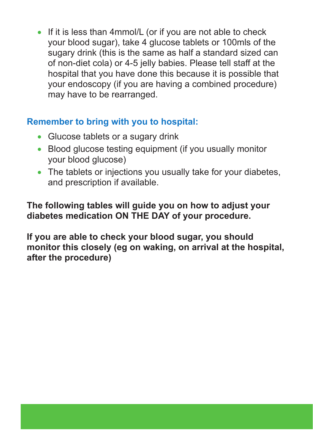• If it is less than 4mmol/L (or if you are not able to check your blood sugar), take 4 glucose tablets or 100mls of the sugary drink (this is the same as half a standard sized can of non-diet cola) or 4-5 jelly babies. Please tell staff at the hospital that you have done this because it is possible that your endoscopy (if you are having a combined procedure) may have to be rearranged.

## **Remember to bring with you to hospital:**

- Glucose tablets or a sugary drink
- Blood glucose testing equipment (if you usually monitor your blood glucose)
- The tablets or injections you usually take for your diabetes, and prescription if available.

## **The following tables will guide you on how to adjust your diabetes medication ON THE DAY of your procedure.**

**If you are able to check your blood sugar, you should monitor this closely (eg on waking, on arrival at the hospital, after the procedure)**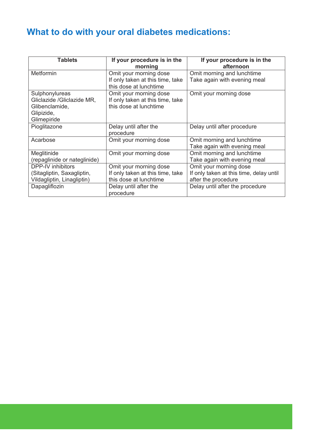# **What to do with your oral diabetes medications:**

| <b>Tablets</b>               | If your procedure is in the<br>morning | If your procedure is in the<br>afternoon |
|------------------------------|----------------------------------------|------------------------------------------|
| Metformin                    | Omit your morning dose                 | Omit morning and lunchtime               |
|                              | If only taken at this time, take       | Take again with evening meal             |
|                              | this dose at lunchtime                 |                                          |
| Sulphonylureas               | Omit your morning dose                 | Omit your morning dose                   |
| Gliclazide /Gliclazide MR,   | If only taken at this time, take       |                                          |
| Glibenclamide.               | this dose at lunchtime                 |                                          |
| Glipizide,                   |                                        |                                          |
| Glimepiride                  |                                        |                                          |
| Pioglitazone                 | Delay until after the                  | Delay until after procedure              |
|                              | procedure                              |                                          |
| Acarbose                     | Omit your morning dose                 | Omit morning and lunchtime               |
|                              |                                        | Take again with evening meal             |
| Meglitinide                  | Omit your morning dose                 | Omit morning and lunchtime               |
| (repaglinide or nateglinide) |                                        | Take again with evening meal             |
| DPP-IV inhibitors            | Omit your morning dose                 | Omit your morning dose                   |
| (Sitagliptin, Saxagliptin,   | If only taken at this time, take       | If only taken at this time, delay until  |
| Vildagliptin, Linagliptin)   | this dose at lunchtime                 | after the procedure                      |
| Dapagliflozin                | Delay until after the                  | Delay until after the procedure          |
|                              | procedure                              |                                          |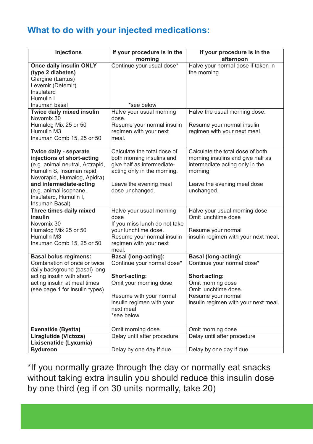## **What to do with your injected medications:**

| Injections                                                                                                                                                                                                                                           | If your procedure is in the<br>morning                                                                                                                             | If your procedure is in the<br>afternoon                                                                                                                         |
|------------------------------------------------------------------------------------------------------------------------------------------------------------------------------------------------------------------------------------------------------|--------------------------------------------------------------------------------------------------------------------------------------------------------------------|------------------------------------------------------------------------------------------------------------------------------------------------------------------|
| Once daily insulin ONLY<br>(type 2 diabetes)<br>Glargine (Lantus)<br>Levemir (Detemir)<br>Insulatard<br>Humulin I                                                                                                                                    | Continue your usual dose*                                                                                                                                          | Halve your normal dose if taken in<br>the morning                                                                                                                |
| Insuman basal                                                                                                                                                                                                                                        | *see below                                                                                                                                                         |                                                                                                                                                                  |
| Twice daily mixed insulin<br>Novomix 30<br>Humalog Mix 25 or 50<br>Humulin M3<br>Insuman Comb 15, 25 or 50                                                                                                                                           | Halve your usual morning<br>dose.<br>Resume your normal insulin<br>regimen with your next<br>meal.                                                                 | Halve the usual morning dose.<br>Resume your normal insulin<br>regimen with your next meal.                                                                      |
| Twice daily - separate<br>injections of short-acting<br>(e.g. animal neutral, Actrapid,<br>Humulin S, Insuman rapid,<br>Novorapid, Humalog, Apidra)<br>and intermediate-acting<br>(e.g. animal isophane,<br>Insulatard, Humulin I,<br>Insuman Basal) | Calculate the total dose of<br>both morning insulins and<br>give half as intermediate-<br>acting only in the morning.<br>Leave the evening meal<br>dose unchanged. | Calculate the total dose of both<br>morning insulins and give half as<br>intermediate acting only in the<br>mornina<br>Leave the evening meal dose<br>unchanged. |
| Three times daily mixed                                                                                                                                                                                                                              | Halve your usual morning                                                                                                                                           | Halve your usual morning dose                                                                                                                                    |
| <b>insulin</b>                                                                                                                                                                                                                                       | dose                                                                                                                                                               | Omit lunchtime dose                                                                                                                                              |
| Novomix 30<br>Humalog Mix 25 or 50<br>Humulin M3<br>Insuman Comb 15, 25 or 50                                                                                                                                                                        | If you miss lunch do not take<br>your lunchtime dose.<br>Resume your normal insulin<br>regimen with your next<br>meal.                                             | Resume your normal<br>insulin regimen with your next meal.                                                                                                       |
| <b>Basal bolus regimens:</b>                                                                                                                                                                                                                         | <b>Basal (long-acting):</b>                                                                                                                                        | <b>Basal (long-acting):</b>                                                                                                                                      |
| Combination of once or twice<br>daily background (basal) long                                                                                                                                                                                        | Continue your normal dose*                                                                                                                                         | Continue your normal dose*                                                                                                                                       |
| acting insulin with short-                                                                                                                                                                                                                           | Short-acting:                                                                                                                                                      | Short acting:                                                                                                                                                    |
| acting insulin at meal times                                                                                                                                                                                                                         | Omit your morning dose                                                                                                                                             | Omit morning dose                                                                                                                                                |
| (see page 1 for insulin types)                                                                                                                                                                                                                       |                                                                                                                                                                    | Omit lunchtime dose.                                                                                                                                             |
|                                                                                                                                                                                                                                                      | Resume with your normal                                                                                                                                            | Resume your normal                                                                                                                                               |
|                                                                                                                                                                                                                                                      | insulin regimen with your<br>next meal<br>*see below                                                                                                               | insulin regimen with your next meal.                                                                                                                             |
| Exenatide (Byetta)                                                                                                                                                                                                                                   | Omit morning dose                                                                                                                                                  | Omit morning dose                                                                                                                                                |
| Liraglutide (Victoza)<br>Lixisenatide (Lyxumia)                                                                                                                                                                                                      | Delay until after procedure                                                                                                                                        | Delay until after procedure                                                                                                                                      |
| <b>Bydureon</b>                                                                                                                                                                                                                                      | Delay by one day if due                                                                                                                                            | Delay by one day if due                                                                                                                                          |

\*If you normally graze through the day or normally eat snacks without taking extra insulin you should reduce this insulin dose by one third (eg if on 30 units normally, take 20)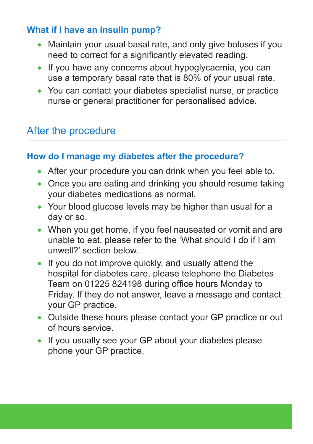## **What if I have an insulin pump?**

- Maintain your usual basal rate, and only give boluses if you need to correct for a significantly elevated reading.
- If you have any concerns about hypoglycaemia, you can use a temporary basal rate that is 80% of your usual rate.
- You can contact your diabetes specialist nurse, or practice nurse or general practitioner for personalised advice.

# After the procedure

#### **How do I manage my diabetes after the procedure?**

- After your procedure you can drink when you feel able to.
- Once you are eating and drinking you should resume taking your diabetes medications as normal.
- Your blood glucose levels may be higher than usual for a day or so.
- When you get home, if you feel nauseated or vomit and are unable to eat, please refer to the 'What should I do if I am unwell?' section below.
- If you do not improve quickly, and usually attend the hospital for diabetes care, please telephone the Diabetes Team on 01225 824198 during office hours Monday to Friday. If they do not answer, leave a message and contact your GP practice.
- Outside these hours please contact your GP practice or out of hours service.
- If you usually see your GP about your diabetes please phone your GP practice.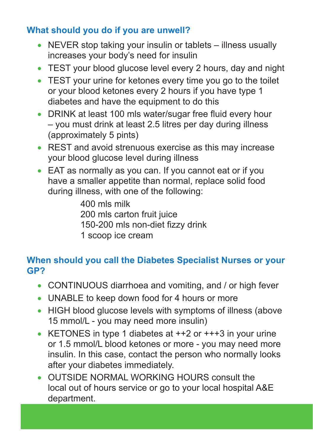## **What should you do if you are unwell?**

- NEVER stop taking your insulin or tablets illness usually increases your body's need for insulin
- TEST your blood glucose level every 2 hours, day and night
- TEST your urine for ketones every time you go to the toilet or your blood ketones every 2 hours if you have type 1 diabetes and have the equipment to do this
- DRINK at least 100 mls water/sugar free fluid every hour – you must drink at least 2.5 litres per day during illness (approximately 5 pints)
- REST and avoid strenuous exercise as this may increase your blood glucose level during illness
- EAT as normally as you can. If you cannot eat or if you have a smaller appetite than normal, replace solid food during illness, with one of the following:

 400 mls milk 200 mls carton fruit juice 150-200 mls non-diet fizzy drink 1 scoop ice cream

## **When should you call the Diabetes Specialist Nurses or your GP?**

- CONTINUOUS diarrhoea and vomiting, and / or high fever
- UNABLE to keep down food for 4 hours or more
- HIGH blood glucose levels with symptoms of illness (above 15 mmol/L - you may need more insulin)
- KETONES in type 1 diabetes at  $++2$  or  $++3$  in your urine or 1.5 mmol/L blood ketones or more - you may need more insulin. In this case, contact the person who normally looks after your diabetes immediately.
- OUTSIDE NORMAL WORKING HOURS consult the local out of hours service or go to your local hospital A&E department.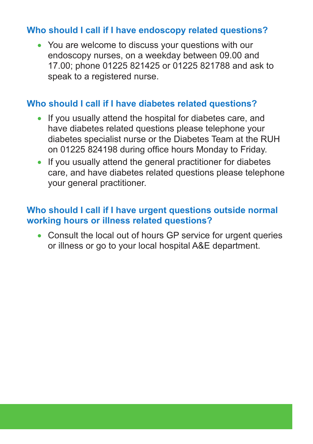#### **Who should I call if I have endoscopy related questions?**

• You are welcome to discuss your questions with our endoscopy nurses, on a weekday between 09.00 and 17.00; phone 01225 821425 or 01225 821788 and ask to speak to a registered nurse.

#### **Who should I call if I have diabetes related questions?**

- If you usually attend the hospital for diabetes care, and have diabetes related questions please telephone your diabetes specialist nurse or the Diabetes Team at the RUH on 01225 824198 during office hours Monday to Friday.
- If you usually attend the general practitioner for diabetes care, and have diabetes related questions please telephone your general practitioner.

#### **Who should I call if I have urgent questions outside normal working hours or illness related questions?**

• Consult the local out of hours GP service for urgent queries or illness or go to your local hospital A&E department.